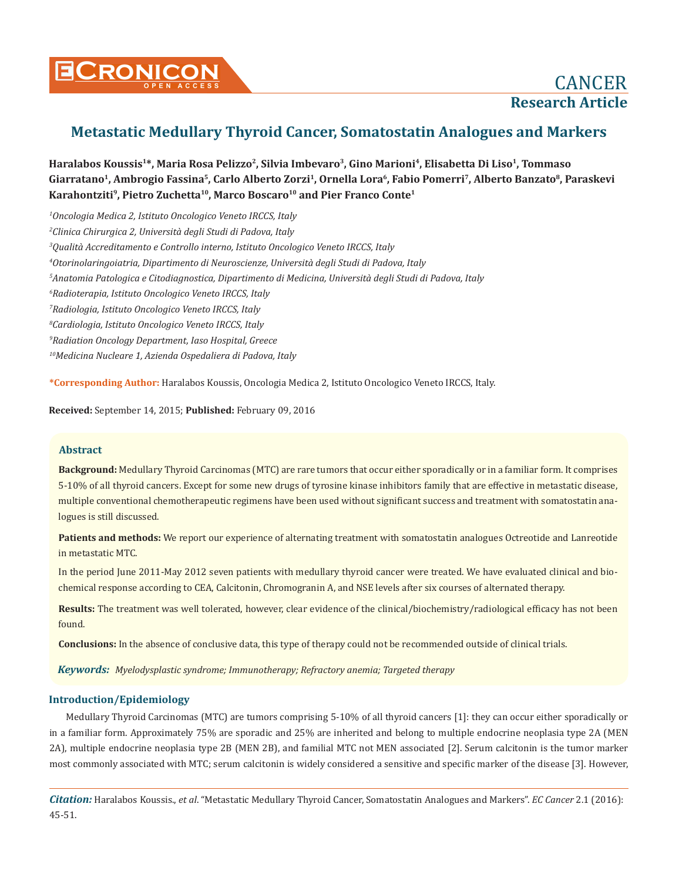

# **Metastatic Medullary Thyroid Cancer, Somatostatin Analogues and Markers**

**Haralabos Koussis1\*, Maria Rosa Pelizzo2, Silvia Imbevaro3, Gino Marioni4, Elisabetta Di Liso1, Tommaso Giarratano1, Ambrogio Fassina5, Carlo Alberto Zorzi1, Ornella Lora6, Fabio Pomerri7, Alberto Banzato8, Paraskevi**  Karahontziti<sup>9</sup>, Pietro Zuchetta<sup>10</sup>, Marco Boscaro<sup>10</sup> and Pier Franco Conte<sup>1</sup>

 *Oncologia Medica 2, Istituto Oncologico Veneto IRCCS, Italy Clinica Chirurgica 2, Università degli Studi di Padova, Italy Qualità Accreditamento e Controllo interno, Istituto Oncologico Veneto IRCCS, Italy Otorinolaringoiatria, Dipartimento di Neuroscienze, Università degli Studi di Padova, Italy Anatomia Patologica e Citodiagnostica, Dipartimento di Medicina, Università degli Studi di Padova, Italy Radioterapia, Istituto Oncologico Veneto IRCCS, Italy Radiologia, Istituto Oncologico Veneto IRCCS, Italy Cardiologia, Istituto Oncologico Veneto IRCCS, Italy Radiation Oncology Department, Iaso Hospital, Greece 10Medicina Nucleare 1, Azienda Ospedaliera di Padova, Italy*

**\*Corresponding Author:** Haralabos Koussis, Oncologia Medica 2, Istituto Oncologico Veneto IRCCS, Italy.

**Received:** September 14, 2015; **Published:** February 09, 2016

## **Abstract**

**Background:** Medullary Thyroid Carcinomas (MTC) are rare tumors that occur either sporadically or in a familiar form. It comprises 5-10% of all thyroid cancers. Except for some new drugs of tyrosine kinase inhibitors family that are effective in metastatic disease, multiple conventional chemotherapeutic regimens have been used without significant success and treatment with somatostatin analogues is still discussed.

Patients and methods: We report our experience of alternating treatment with somatostatin analogues Octreotide and Lanreotide in metastatic MTC.

In the period June 2011-May 2012 seven patients with medullary thyroid cancer were treated. We have evaluated clinical and biochemical response according to CEA, Calcitonin, Chromogranin A, and NSE levels after six courses of alternated therapy.

**Results:** The treatment was well tolerated, however, clear evidence of the clinical/biochemistry/radiological efficacy has not been found.

**Conclusions:** In the absence of conclusive data, this type of therapy could not be recommended outside of clinical trials.

*Keywords: Myelodysplastic syndrome; Immunotherapy; Refractory anemia; Targeted therapy*

## **Introduction/Epidemiology**

Medullary Thyroid Carcinomas (MTC) are tumors comprising 5-10% of all thyroid cancers [1]: they can occur either sporadically or in a familiar form. Approximately 75% are sporadic and 25% are inherited and belong to multiple endocrine neoplasia type 2A (MEN 2A), multiple endocrine neoplasia type 2B (MEN 2B), and familial MTC not MEN associated [2]. Serum calcitonin is the tumor marker most commonly associated with MTC; serum calcitonin is widely considered a sensitive and specific marker of the disease [3]. However,

*Citation:* Haralabos Koussis., *et al*. "Metastatic Medullary Thyroid Cancer, Somatostatin Analogues and Markers". *EC Cancer* 2.1 (2016): 45-51.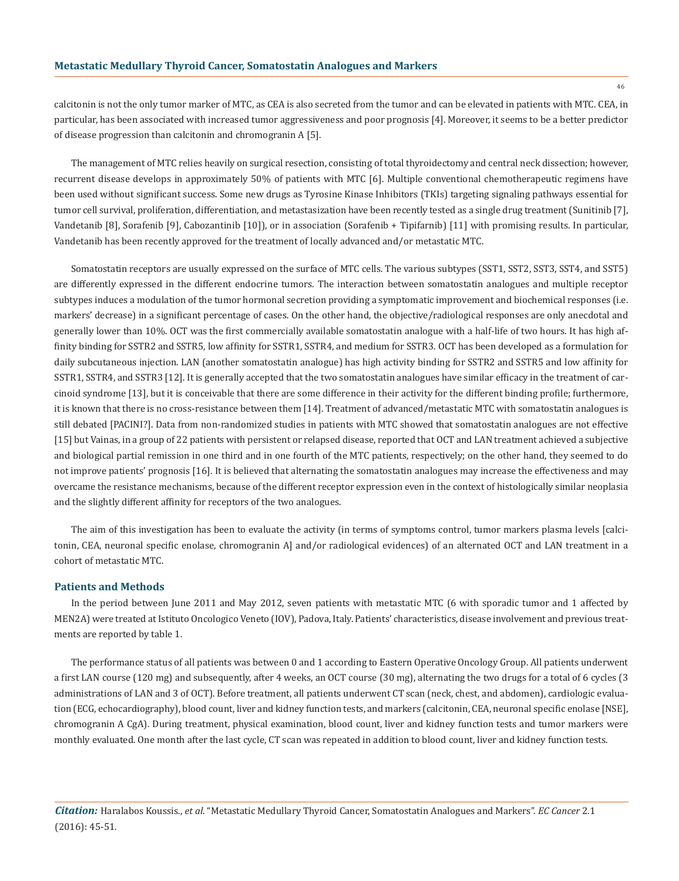calcitonin is not the only tumor marker of MTC, as CEA is also secreted from the tumor and can be elevated in patients with MTC. CEA, in particular, has been associated with increased tumor aggressiveness and poor prognosis [4]. Moreover, it seems to be a better predictor of disease progression than calcitonin and chromogranin A [5].

The management of MTC relies heavily on surgical resection, consisting of total thyroidectomy and central neck dissection; however, recurrent disease develops in approximately 50% of patients with MTC [6]. Multiple conventional chemotherapeutic regimens have been used without significant success. Some new drugs as Tyrosine Kinase Inhibitors (TKIs) targeting signaling pathways essential for tumor cell survival, proliferation, differentiation, and metastasization have been recently tested as a single drug treatment (Sunitinib [7], Vandetanib [8], Sorafenib [9], Cabozantinib [10]), or in association (Sorafenib + Tipifarnib) [11] with promising results. In particular, Vandetanib has been recently approved for the treatment of locally advanced and/or metastatic MTC.

Somatostatin receptors are usually expressed on the surface of MTC cells. The various subtypes (SST1, SST2, SST3, SST4, and SST5) are differently expressed in the different endocrine tumors. The interaction between somatostatin analogues and multiple receptor subtypes induces a modulation of the tumor hormonal secretion providing a symptomatic improvement and biochemical responses (i.e. markers' decrease) in a significant percentage of cases. On the other hand, the objective/radiological responses are only anecdotal and generally lower than 10%. OCT was the first commercially available somatostatin analogue with a half-life of two hours. It has high affinity binding for SSTR2 and SSTR5, low affinity for SSTR1, SSTR4, and medium for SSTR3. OCT has been developed as a formulation for daily subcutaneous injection. LAN (another somatostatin analogue) has high activity binding for SSTR2 and SSTR5 and low affinity for SSTR1, SSTR4, and SSTR3 [12]. It is generally accepted that the two somatostatin analogues have similar efficacy in the treatment of carcinoid syndrome [13], but it is conceivable that there are some difference in their activity for the different binding profile; furthermore, it is known that there is no cross-resistance between them [14]. Treatment of advanced/metastatic MTC with somatostatin analogues is still debated [PACINI?]. Data from non-randomized studies in patients with MTC showed that somatostatin analogues are not effective [15] but Vainas, in a group of 22 patients with persistent or relapsed disease, reported that OCT and LAN treatment achieved a subjective and biological partial remission in one third and in one fourth of the MTC patients, respectively; on the other hand, they seemed to do not improve patients' prognosis [16]. It is believed that alternating the somatostatin analogues may increase the effectiveness and may overcame the resistance mechanisms, because of the different receptor expression even in the context of histologically similar neoplasia and the slightly different affinity for receptors of the two analogues.

The aim of this investigation has been to evaluate the activity (in terms of symptoms control, tumor markers plasma levels [calcitonin, CEA, neuronal specific enolase, chromogranin A] and/or radiological evidences) of an alternated OCT and LAN treatment in a cohort of metastatic MTC.

#### **Patients and Methods**

In the period between June 2011 and May 2012, seven patients with metastatic MTC (6 with sporadic tumor and 1 affected by MEN2A) were treated at Istituto Oncologico Veneto (IOV), Padova, Italy. Patients' characteristics, disease involvement and previous treatments are reported by table 1.

The performance status of all patients was between 0 and 1 according to Eastern Operative Oncology Group. All patients underwent a first LAN course (120 mg) and subsequently, after 4 weeks, an OCT course (30 mg), alternating the two drugs for a total of 6 cycles (3 administrations of LAN and 3 of OCT). Before treatment, all patients underwent CT scan (neck, chest, and abdomen), cardiologic evaluation (ECG, echocardiography), blood count, liver and kidney function tests, and markers (calcitonin, CEA, neuronal specific enolase [NSE], chromogranin A CgA). During treatment, physical examination, blood count, liver and kidney function tests and tumor markers were monthly evaluated. One month after the last cycle, CT scan was repeated in addition to blood count, liver and kidney function tests.

*Citation:* Haralabos Koussis., *et al*. "Metastatic Medullary Thyroid Cancer, Somatostatin Analogues and Markers". *EC Cancer* 2.1 (2016): 45-51.

46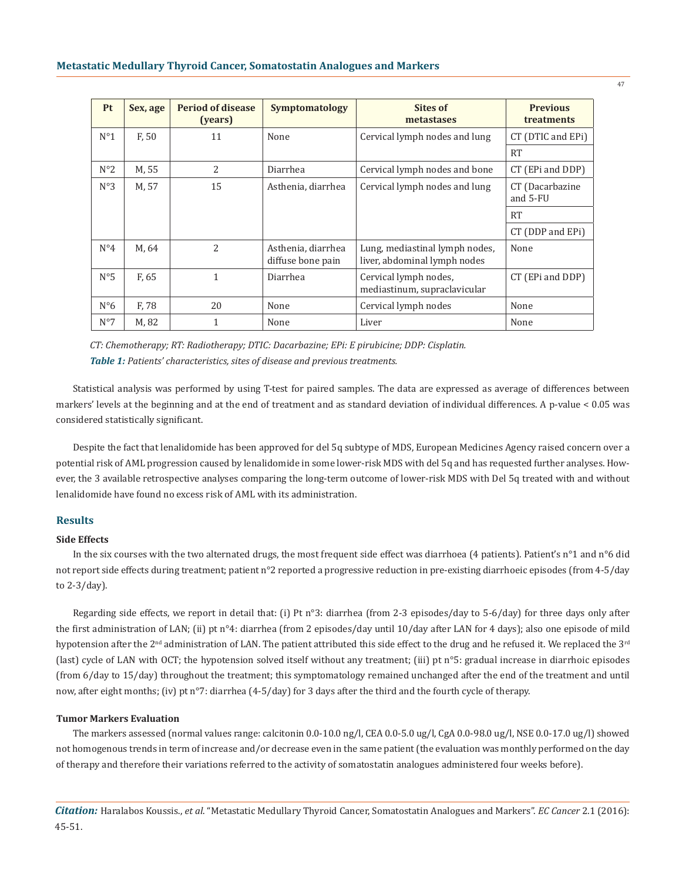| <b>Pt</b>    | Sex, age          | <b>Period of disease</b><br>(years) | Symptomatology                          | Sites of<br>metastases                                         | <b>Previous</b><br>treatments |
|--------------|-------------------|-------------------------------------|-----------------------------------------|----------------------------------------------------------------|-------------------------------|
| $N^{\circ}1$ | F, 50             | 11                                  | None                                    | Cervical lymph nodes and lung                                  | CT (DTIC and EPi)             |
|              |                   |                                     |                                         |                                                                | <b>RT</b>                     |
| $N^{\circ}2$ | M, 55             | $\overline{2}$                      | Diarrhea                                | Cervical lymph nodes and bone                                  | CT (EPi and DDP)              |
| $N^{\circ}3$ | M, 57             | 15                                  | Asthenia, diarrhea                      | Cervical lymph nodes and lung                                  | CT (Dacarbazine<br>and 5-FU   |
|              |                   |                                     |                                         |                                                                | <b>RT</b>                     |
|              |                   |                                     |                                         |                                                                | $CT$ (DDP and EPi)            |
| $N^{\circ}4$ | M, 64             | $\overline{2}$                      | Asthenia, diarrhea<br>diffuse bone pain | Lung, mediastinal lymph nodes,<br>liver, abdominal lymph nodes | None                          |
| $N^{\circ}5$ | F <sub>, 65</sub> | $\mathbf{1}$                        | Diarrhea                                | Cervical lymph nodes,<br>mediastinum, supraclavicular          | CT (EPi and DDP)              |
| $N^{\circ}6$ | F, 78             | 20                                  | None                                    | Cervical lymph nodes                                           | None                          |
| $N^{\circ}7$ | M, 82             | 1                                   | None                                    | Liver                                                          | None                          |

*CT: Chemotherapy; RT: Radiotherapy; DTIC: Dacarbazine; EPi: E pirubicine; DDP: Cisplatin. Table 1: Patients' characteristics, sites of disease and previous treatments.*

Statistical analysis was performed by using T-test for paired samples. The data are expressed as average of differences between markers' levels at the beginning and at the end of treatment and as standard deviation of individual differences. A p-value < 0.05 was considered statistically significant.

Despite the fact that lenalidomide has been approved for del 5q subtype of MDS, European Medicines Agency raised concern over a potential risk of AML progression caused by lenalidomide in some lower-risk MDS with del 5q and has requested further analyses. However, the 3 available retrospective analyses comparing the long-term outcome of lower-risk MDS with Del 5q treated with and without lenalidomide have found no excess risk of AML with its administration.

## **Results**

### **Side Effects**

In the six courses with the two alternated drugs, the most frequent side effect was diarrhoea (4 patients). Patient's n°1 and n°6 did not report side effects during treatment; patient n°2 reported a progressive reduction in pre-existing diarrhoeic episodes (from 4-5/day to 2-3/day).

Regarding side effects, we report in detail that: (i) Pt n°3: diarrhea (from 2-3 episodes/day to 5-6/day) for three days only after the first administration of LAN; (ii) pt n°4: diarrhea (from 2 episodes/day until 10/day after LAN for 4 days); also one episode of mild hypotension after the 2<sup>nd</sup> administration of LAN. The patient attributed this side effect to the drug and he refused it. We replaced the 3<sup>rd</sup> (last) cycle of LAN with OCT; the hypotension solved itself without any treatment; (iii) pt n°5: gradual increase in diarrhoic episodes (from 6/day to 15/day) throughout the treatment; this symptomatology remained unchanged after the end of the treatment and until now, after eight months; (iv) pt n°7: diarrhea (4-5/day) for 3 days after the third and the fourth cycle of therapy.

### **Tumor Markers Evaluation**

The markers assessed (normal values range: calcitonin 0.0-10.0 ng/l, CEA 0.0-5.0 ug/l, CgA 0.0-98.0 ug/l, NSE 0.0-17.0 ug/l) showed not homogenous trends in term of increase and/or decrease even in the same patient (the evaluation was monthly performed on the day of therapy and therefore their variations referred to the activity of somatostatin analogues administered four weeks before).

47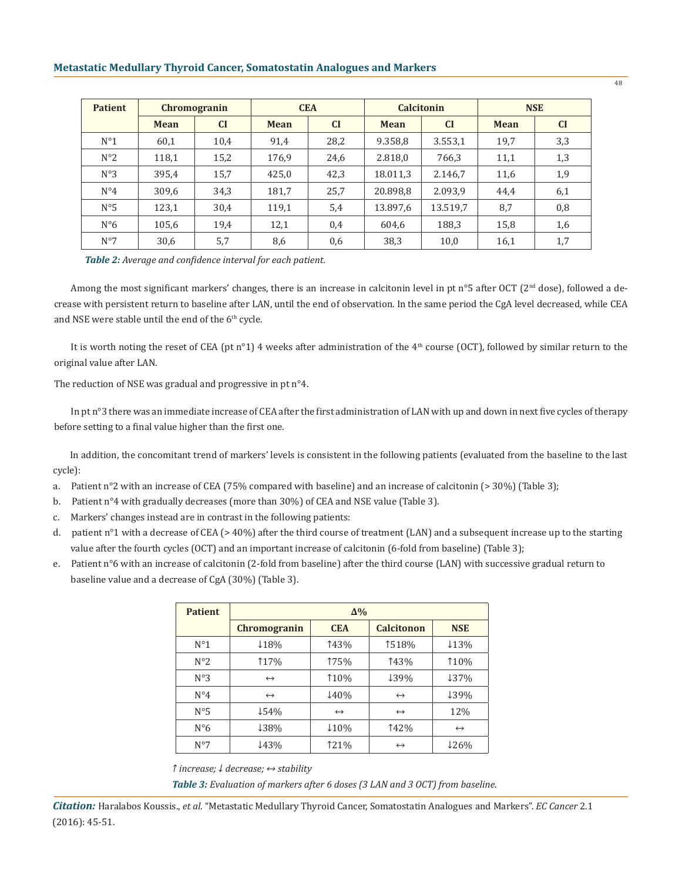## **Metastatic Medullary Thyroid Cancer, Somatostatin Analogues and Markers**

| <b>Patient</b> | <b>Chromogranin</b> |      | <b>CEA</b>  |           | <b>Calcitonin</b> |           | <b>NSE</b>  |           |
|----------------|---------------------|------|-------------|-----------|-------------------|-----------|-------------|-----------|
|                | Mean                | CI   | <b>Mean</b> | <b>CI</b> | <b>Mean</b>       | <b>CI</b> | <b>Mean</b> | <b>CI</b> |
| $N^{\circ}1$   | 60,1                | 10,4 | 91,4        | 28,2      | 9.358,8           | 3.553,1   | 19,7        | 3,3       |
| $N^{\circ}2$   | 118,1               | 15,2 | 176,9       | 24,6      | 2.818,0           | 766,3     | 11,1        | 1,3       |
| $N^{\circ}3$   | 395,4               | 15,7 | 425,0       | 42,3      | 18.011,3          | 2.146,7   | 11,6        | 1,9       |
| $N^{\circ}4$   | 309,6               | 34,3 | 181,7       | 25,7      | 20.898,8          | 2.093,9   | 44,4        | 6,1       |
| $N^{\circ}5$   | 123,1               | 30,4 | 119,1       | 5,4       | 13.897,6          | 13.519,7  | 8,7         | 0,8       |
| $N^{\circ}6$   | 105,6               | 19,4 | 12,1        | 0,4       | 604,6             | 188,3     | 15,8        | 1,6       |
| $N^{\circ}7$   | 30,6                | 5,7  | 8,6         | 0,6       | 38,3              | 10,0      | 16,1        | 1,7       |

*Table 2: Average and confidence interval for each patient.*

Among the most significant markers' changes, there is an increase in calcitonin level in pt n°5 after OCT ( $2<sup>nd</sup>$  dose), followed a decrease with persistent return to baseline after LAN, until the end of observation. In the same period the CgA level decreased, while CEA and NSE were stable until the end of the 6<sup>th</sup> cycle.

It is worth noting the reset of CEA (pt n°1) 4 weeks after administration of the 4<sup>th</sup> course (OCT), followed by similar return to the original value after LAN.

The reduction of NSE was gradual and progressive in pt n°4.

In pt n°3 there was an immediate increase of CEA after the first administration of LAN with up and down in next five cycles of therapy before setting to a final value higher than the first one.

In addition, the concomitant trend of markers' levels is consistent in the following patients (evaluated from the baseline to the last cycle):

- a. Patient n°2 with an increase of CEA (75% compared with baseline) and an increase of calcitonin (> 30%) (Table 3);
- b. Patient n°4 with gradually decreases (more than 30%) of CEA and NSE value (Table 3).
- c. Markers' changes instead are in contrast in the following patients:
- d. patient n°1 with a decrease of CEA (> 40%) after the third course of treatment (LAN) and a subsequent increase up to the starting value after the fourth cycles (OCT) and an important increase of calcitonin (6-fold from baseline) (Table 3);
- e. Patient n°6 with an increase of calcitonin (2-fold from baseline) after the third course (LAN) with successive gradual return to baseline value and a decrease of CgA (30%) (Table 3).

| <b>Patient</b> | $\Delta\%$                |                          |                   |                   |  |  |
|----------------|---------------------------|--------------------------|-------------------|-------------------|--|--|
|                | Chromogranin              | <b>CEA</b>               | <b>Calcitonon</b> | <b>NSE</b>        |  |  |
| $N^{\circ}1$   | 118%                      | 143%                     | 1518%             | $13\%$            |  |  |
| $N^{\circ}2$   | 117%                      | 175%                     | 143%              | 110%              |  |  |
| $N^{\circ}3$   | $\leftrightarrow$         | 110%                     | ↓39%              | 137%              |  |  |
| $N^{\circ}4$   | 140%<br>$\leftrightarrow$ |                          | $\leftrightarrow$ | ↓39%              |  |  |
| $N^{\circ}5$   | 154%                      | $\leftrightarrow$        | $\leftrightarrow$ | 12%               |  |  |
| $N^{\circ}6$   | <b>138%</b>               | $\downarrow$ 10%<br>142% |                   | $\leftrightarrow$ |  |  |
| $N^{\circ}7$   | 143%                      |                          | $\leftrightarrow$ | 126%              |  |  |

*↑ increase; ↓ decrease; ↔ stability*

*Table 3: Evaluation of markers after 6 doses (3 LAN and 3 OCT) from baseline.*

48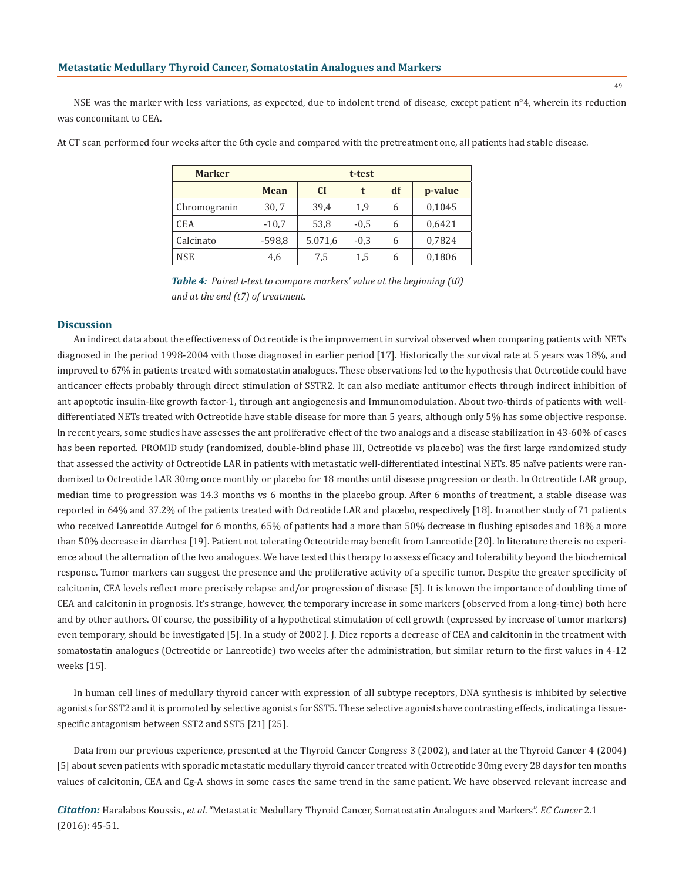NSE was the marker with less variations, as expected, due to indolent trend of disease, except patient n°4, wherein its reduction was concomitant to CEA.

| <b>Marker</b> | t-test      |         |        |    |         |  |
|---------------|-------------|---------|--------|----|---------|--|
|               | <b>Mean</b> | CI      | t      | df | p-value |  |
| Chromogranin  | 30,7        | 39,4    | 1,9    | 6  | 0,1045  |  |
| <b>CEA</b>    | $-10,7$     | 53,8    | $-0,5$ | 6  | 0,6421  |  |
| Calcinato     | $-598,8$    | 5.071,6 | $-0,3$ | 6  | 0,7824  |  |
| <b>NSE</b>    | 4,6         | 7,5     | 1,5    | 6  | 0,1806  |  |

At CT scan performed four weeks after the 6th cycle and compared with the pretreatment one, all patients had stable disease.

*Table 4: Paired t-test to compare markers' value at the beginning (t0) and at the end (t7) of treatment.*

#### **Discussion**

An indirect data about the effectiveness of Octreotide is the improvement in survival observed when comparing patients with NETs diagnosed in the period 1998-2004 with those diagnosed in earlier period [17]. Historically the survival rate at 5 years was 18%, and improved to 67% in patients treated with somatostatin analogues. These observations led to the hypothesis that Octreotide could have anticancer effects probably through direct stimulation of SSTR2. It can also mediate antitumor effects through indirect inhibition of ant apoptotic insulin-like growth factor-1, through ant angiogenesis and Immunomodulation. About two-thirds of patients with welldifferentiated NETs treated with Octreotide have stable disease for more than 5 years, although only 5% has some objective response. In recent years, some studies have assesses the ant proliferative effect of the two analogs and a disease stabilization in 43-60% of cases has been reported. PROMID study (randomized, double-blind phase III, Octreotide vs placebo) was the first large randomized study that assessed the activity of Octreotide LAR in patients with metastatic well-differentiated intestinal NETs. 85 naïve patients were randomized to Octreotide LAR 30mg once monthly or placebo for 18 months until disease progression or death. In Octreotide LAR group, median time to progression was 14.3 months vs 6 months in the placebo group. After 6 months of treatment, a stable disease was reported in 64% and 37.2% of the patients treated with Octreotide LAR and placebo, respectively [18]. In another study of 71 patients who received Lanreotide Autogel for 6 months, 65% of patients had a more than 50% decrease in flushing episodes and 18% a more than 50% decrease in diarrhea [19]. Patient not tolerating Octeotride may benefit from Lanreotide [20]. In literature there is no experience about the alternation of the two analogues. We have tested this therapy to assess efficacy and tolerability beyond the biochemical response. Tumor markers can suggest the presence and the proliferative activity of a specific tumor. Despite the greater specificity of calcitonin, CEA levels reflect more precisely relapse and/or progression of disease [5]. It is known the importance of doubling time of CEA and calcitonin in prognosis. It's strange, however, the temporary increase in some markers (observed from a long-time) both here and by other authors. Of course, the possibility of a hypothetical stimulation of cell growth (expressed by increase of tumor markers) even temporary, should be investigated [5]. In a study of 2002 J. J. Diez reports a decrease of CEA and calcitonin in the treatment with somatostatin analogues (Octreotide or Lanreotide) two weeks after the administration, but similar return to the first values in 4-12 weeks [15].

In human cell lines of medullary thyroid cancer with expression of all subtype receptors, DNA synthesis is inhibited by selective agonists for SST2 and it is promoted by selective agonists for SST5. These selective agonists have contrasting effects, indicating a tissuespecific antagonism between SST2 and SST5 [21] [25].

Data from our previous experience, presented at the Thyroid Cancer Congress 3 (2002), and later at the Thyroid Cancer 4 (2004) [5] about seven patients with sporadic metastatic medullary thyroid cancer treated with Octreotide 30mg every 28 days for ten months values of calcitonin, CEA and Cg-A shows in some cases the same trend in the same patient. We have observed relevant increase and

*Citation:* Haralabos Koussis., *et al*. "Metastatic Medullary Thyroid Cancer, Somatostatin Analogues and Markers". *EC Cancer* 2.1 (2016): 45-51.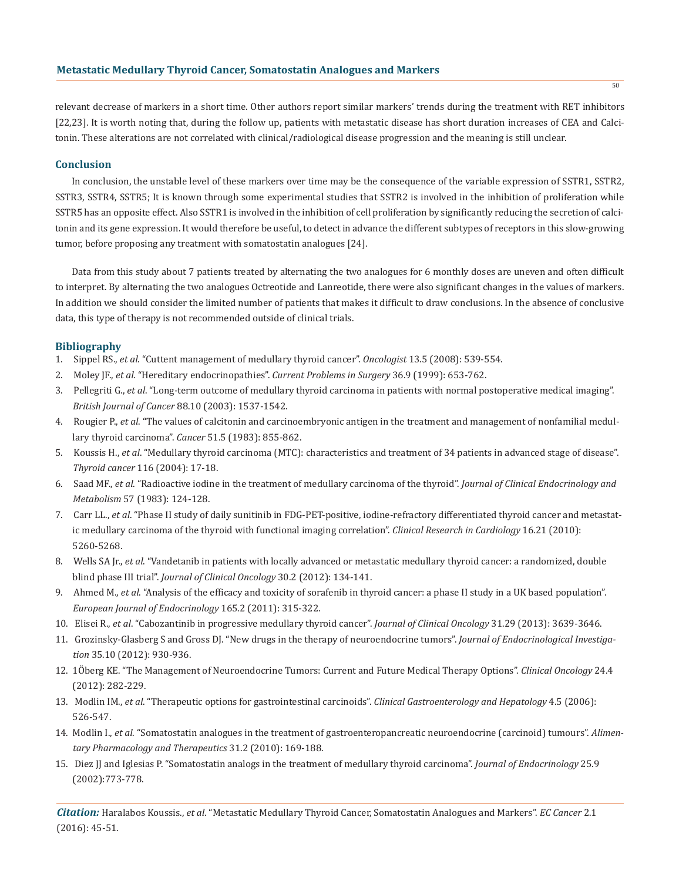relevant decrease of markers in a short time. Other authors report similar markers' trends during the treatment with RET inhibitors [22,23]. It is worth noting that, during the follow up, patients with metastatic disease has short duration increases of CEA and Calcitonin. These alterations are not correlated with clinical/radiological disease progression and the meaning is still unclear.

## **Conclusion**

In conclusion, the unstable level of these markers over time may be the consequence of the variable expression of SSTR1, SSTR2, SSTR3, SSTR4, SSTR5; It is known through some experimental studies that SSTR2 is involved in the inhibition of proliferation while SSTR5 has an opposite effect. Also SSTR1 is involved in the inhibition of cell proliferation by significantly reducing the secretion of calcitonin and its gene expression. It would therefore be useful, to detect in advance the different subtypes of receptors in this slow-growing tumor, before proposing any treatment with somatostatin analogues [24].

Data from this study about 7 patients treated by alternating the two analogues for 6 monthly doses are uneven and often difficult to interpret. By alternating the two analogues Octreotide and Lanreotide, there were also significant changes in the values of markers. In addition we should consider the limited number of patients that makes it difficult to draw conclusions. In the absence of conclusive data, this type of therapy is not recommended outside of clinical trials.

## **Bibliography**

- 1. Sippel RS., *et al*. "Cuttent management of medullary thyroid cancer". *Oncologist* 13.5 (2008): 539-554.
- 2. Moley JF., *et al*. "Hereditary endocrinopathies". *Current Problems in Surgery* 36.9 (1999): 653-762.
- 3. Pellegriti G., *et al*. "Long-term outcome of medullary thyroid carcinoma in patients with normal postoperative medical imaging". *British Journal of Cancer* 88.10 (2003): 1537-1542.
- 4. Rougier P., *et al*. "The values of calcitonin and carcinoembryonic antigen in the treatment and management of nonfamilial medul lary thyroid carcinoma". *Cancer* 51.5 (1983): 855-862.
- 5. Koussis H., *et al*. "Medullary thyroid carcinoma (MTC): characteristics and treatment of 34 patients in advanced stage of disease". *Thyroid cancer* 116 (2004): 17-18.
- 6. Saad MF., *et al*. "Radioactive iodine in the treatment of medullary carcinoma of the thyroid". *Journal of Clinical Endocrinology and Metabolism* 57 (1983): 124-128.
- 7. Carr LL., *et al*. "Phase II study of daily sunitinib in FDG-PET-positive, iodine-refractory differentiated thyroid cancer and metastat ic medullary carcinoma of the thyroid with functional imaging correlation". *Clinical Research in Cardiology* 16.21 (2010): 5260-5268.
- 8. Wells SA Jr., *et al*. "Vandetanib in patients with locally advanced or metastatic medullary thyroid cancer: a randomized, double blind phase III trial". *Journal of Clinical Oncology* 30.2 (2012): 134-141.
- 9. Ahmed M., *et al*. "Analysis of the efficacy and toxicity of sorafenib in thyroid cancer: a phase II study in a UK based population". *European Journal of Endocrinology* 165.2 (2011): 315-322.
- 10. Elisei R., *et al*. "Cabozantinib in progressive medullary thyroid cancer". *Journal of Clinical Oncology* 31.29 (2013): 3639-3646.
- 11. Grozinsky-Glasberg S and Gross DJ. "New drugs in the therapy of neuroendocrine tumors". *Journal of Endocrinological Investiga tion* 35.10 (2012): 930-936.
- 12. 1Öberg KE. "The Management of Neuroendocrine Tumors: Current and Future Medical Therapy Options". *Clinical Oncology* 24.4 (2012): 282-229.
- 13. Modlin IM., *et al*. "Therapeutic options for gastrointestinal carcinoids". *Clinical Gastroenterology and Hepatology* 4.5 (2006): 526-547.
- 14. Modlin I., *et al*. "Somatostatin analogues in the treatment of gastroenteropancreatic neuroendocrine (carcinoid) tumours". *Alimen tary Pharmacology and Therapeutics* 31.2 (2010): 169-188.
- 15. Diez JJ and Iglesias P. "Somatostatin analogs in the treatment of medullary thyroid carcinoma". *Journal of Endocrinology* 25.9 (2002):773-778.

*Citation:* Haralabos Koussis., *et al*. "Metastatic Medullary Thyroid Cancer, Somatostatin Analogues and Markers". *EC Cancer* 2.1 (2016): 45-51.